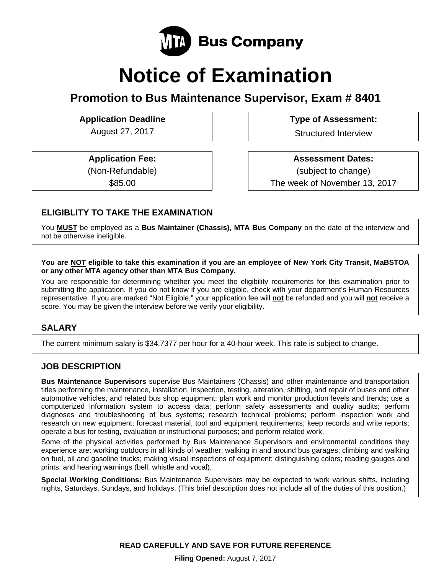

# **Notice of Examination**

**Promotion to Bus Maintenance Supervisor, Exam # 8401** 

Application Deadline **Type of Assessment:** 

August 27, 2017 **Structured Interview** 

**Application Fee:**  (Non-Refundable)

\$85.00

 **Assessment Dates:** (subject to change) The week of November 13, 2017

# **ELIGIBLITY TO TAKE THE EXAMINATION**

You **MUST** be employed as a **Bus Maintainer (Chassis), MTA Bus Company** on the date of the interview and not be otherwise ineligible.

**You are NOT eligible to take this examination if you are an employee of New York City Transit, MaBSTOA or any other MTA agency other than MTA Bus Company.** 

You are responsible for determining whether you meet the eligibility requirements for this examination prior to submitting the application. If you do not know if you are eligible, check with your department's Human Resources representative. If you are marked "Not Eligible," your application fee will **not** be refunded and you will **not** receive a score. You may be given the interview before we verify your eligibility.

## **SALARY**

The current minimum salary is \$34.7377 per hour for a 40-hour week. This rate is subject to change.

### **JOB DESCRIPTION**

**Bus Maintenance Supervisors** supervise Bus Maintainers (Chassis) and other maintenance and transportation titles performing the maintenance, installation, inspection, testing, alteration, shifting, and repair of buses and other automotive vehicles, and related bus shop equipment; plan work and monitor production levels and trends; use a computerized information system to access data; perform safety assessments and quality audits; perform diagnoses and troubleshooting of bus systems; research technical problems; perform inspection work and research on new equipment; forecast material, tool and equipment requirements; keep records and write reports; operate a bus for testing, evaluation or instructional purposes; and perform related work.

Some of the physical activities performed by Bus Maintenance Supervisors and environmental conditions they experience are: working outdoors in all kinds of weather; walking in and around bus garages; climbing and walking on fuel, oil and gasoline trucks; making visual inspections of equipment; distinguishing colors; reading gauges and prints; and hearing warnings (bell, whistle and vocal).

**Special Working Conditions:** Bus Maintenance Supervisors may be expected to work various shifts, including nights, Saturdays, Sundays, and holidays. (This brief description does not include all of the duties of this position.)

**READ CAREFULLY AND SAVE FOR FUTURE REFERENCE**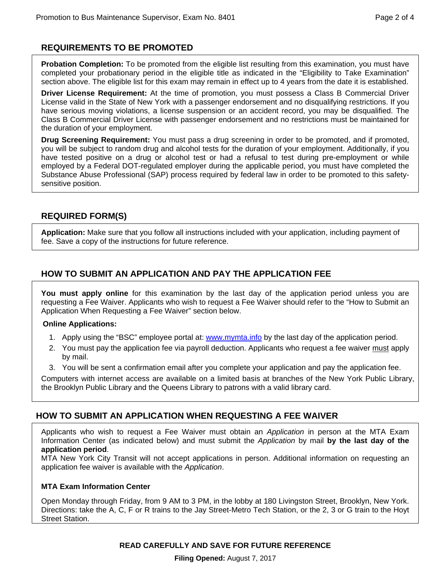## **REQUIREMENTS TO BE PROMOTED**

**Probation Completion:** To be promoted from the eligible list resulting from this examination, you must have completed your probationary period in the eligible title as indicated in the "Eligibility to Take Examination" section above. The eligible list for this exam may remain in effect up to 4 years from the date it is established.

**Driver License Requirement:** At the time of promotion, you must possess a Class B Commercial Driver License valid in the State of New York with a passenger endorsement and no disqualifying restrictions. If you have serious moving violations, a license suspension or an accident record, you may be disqualified. The Class B Commercial Driver License with passenger endorsement and no restrictions must be maintained for the duration of your employment.

**Drug Screening Requirement:** You must pass a drug screening in order to be promoted, and if promoted, you will be subject to random drug and alcohol tests for the duration of your employment. Additionally, if you have tested positive on a drug or alcohol test or had a refusal to test during pre-employment or while employed by a Federal DOT-regulated employer during the applicable period, you must have completed the Substance Abuse Professional (SAP) process required by federal law in order to be promoted to this safetysensitive position.

## **REQUIRED FORM(S)**

**Application:** Make sure that you follow all instructions included with your application, including payment of fee. Save a copy of the instructions for future reference.

## **HOW TO SUBMIT AN APPLICATION AND PAY THE APPLICATION FEE**

**You must apply online** for this examination by the last day of the application period unless you are requesting a Fee Waiver. Applicants who wish to request a Fee Waiver should refer to the "How to Submit an Application When Requesting a Fee Waiver" section below.

#### **Online Applications:**

- 1. Apply using the "BSC" employee portal at: www.mymta.info by the last day of the application period.
- 2. You must pay the application fee via payroll deduction. Applicants who request a fee waiver must apply by mail.
- 3. You will be sent a confirmation email after you complete your application and pay the application fee.

Computers with internet access are available on a limited basis at branches of the New York Public Library, the Brooklyn Public Library and the Queens Library to patrons with a valid library card.

## **HOW TO SUBMIT AN APPLICATION WHEN REQUESTING A FEE WAIVER**

Applicants who wish to request a Fee Waiver must obtain an *Application* in person at the MTA Exam Information Center (as indicated below) and must submit the *Application* by mail **by the last day of the application period**.

MTA New York City Transit will not accept applications in person. Additional information on requesting an application fee waiver is available with the *Application*.

### **MTA Exam Information Center**

Open Monday through Friday, from 9 AM to 3 PM, in the lobby at 180 Livingston Street, Brooklyn, New York. Directions: take the A, C, F or R trains to the Jay Street-Metro Tech Station, or the 2, 3 or G train to the Hoyt Street Station.

**READ CAREFULLY AND SAVE FOR FUTURE REFERENCE** 

**Filing Opened:** August 7, 2017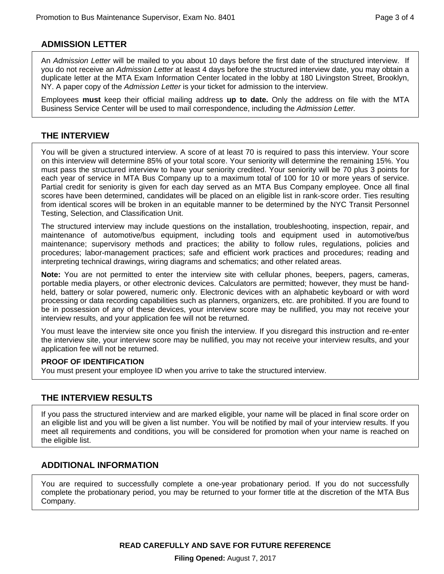## **ADMISSION LETTER**

An *Admission Letter* will be mailed to you about 10 days before the first date of the structured interview. If you do not receive an *Admission Letter* at least 4 days before the structured interview date, you may obtain a duplicate letter at the MTA Exam Information Center located in the lobby at 180 Livingston Street, Brooklyn, NY. A paper copy of the *Admission Letter* is your ticket for admission to the interview.

Employees **must** keep their official mailing address **up to date.** Only the address on file with the MTA Business Service Center will be used to mail correspondence, including the *Admission Letter.* 

## **THE INTERVIEW**

You will be given a structured interview. A score of at least 70 is required to pass this interview. Your score on this interview will determine 85% of your total score. Your seniority will determine the remaining 15%. You must pass the structured interview to have your seniority credited. Your seniority will be 70 plus 3 points for each year of service in MTA Bus Company up to a maximum total of 100 for 10 or more years of service. Partial credit for seniority is given for each day served as an MTA Bus Company employee. Once all final scores have been determined, candidates will be placed on an eligible list in rank-score order. Ties resulting from identical scores will be broken in an equitable manner to be determined by the NYC Transit Personnel Testing, Selection, and Classification Unit.

The structured interview may include questions on the installation, troubleshooting, inspection, repair, and maintenance of automotive/bus equipment, including tools and equipment used in automotive/bus maintenance; supervisory methods and practices; the ability to follow rules, regulations, policies and procedures; labor-management practices; safe and efficient work practices and procedures; reading and interpreting technical drawings, wiring diagrams and schematics; and other related areas.

**Note:** You are not permitted to enter the interview site with cellular phones, beepers, pagers, cameras, portable media players, or other electronic devices. Calculators are permitted; however, they must be handheld, battery or solar powered, numeric only. Electronic devices with an alphabetic keyboard or with word processing or data recording capabilities such as planners, organizers, etc. are prohibited. If you are found to be in possession of any of these devices, your interview score may be nullified, you may not receive your interview results, and your application fee will not be returned.

You must leave the interview site once you finish the interview. If you disregard this instruction and re-enter the interview site, your interview score may be nullified, you may not receive your interview results, and your application fee will not be returned.

#### **PROOF OF IDENTIFICATION**

You must present your employee ID when you arrive to take the structured interview.

### **THE INTERVIEW RESULTS**

If you pass the structured interview and are marked eligible, your name will be placed in final score order on an eligible list and you will be given a list number. You will be notified by mail of your interview results. If you meet all requirements and conditions, you will be considered for promotion when your name is reached on the eligible list.

## **ADDITIONAL INFORMATION**

You are required to successfully complete a one-year probationary period. If you do not successfully complete the probationary period, you may be returned to your former title at the discretion of the MTA Bus Company.